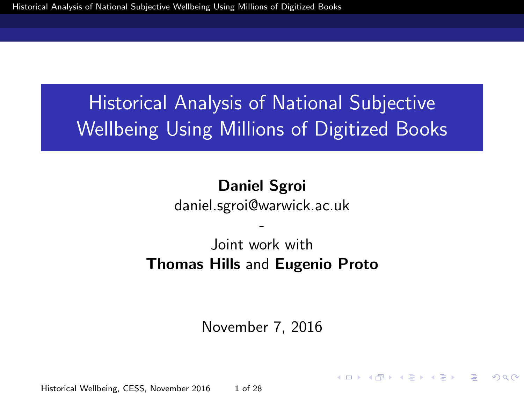# <span id="page-0-0"></span>Historical Analysis of National Subjective Wellbeing Using Millions of Digitized Books

#### Daniel Sgroi daniel.sgroi@warwick.ac.uk

#### - Joint work with Thomas Hills and Eugenio Proto

November 7, 2016

Historical Wellbeing, CESS, November 2016 1 of 28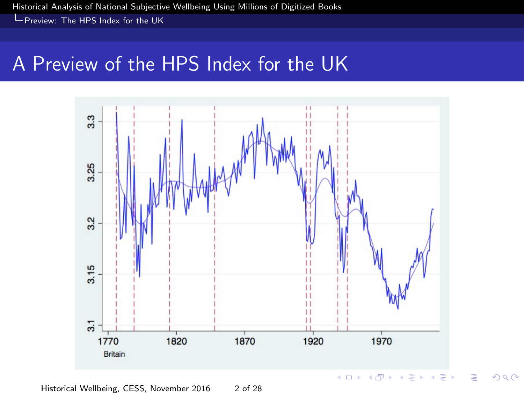<span id="page-1-0"></span>[Historical Analysis of National Subjective Wellbeing Using Millions of Digitized Books](#page-0-0)

[Preview: The HPS Index for the UK](#page-1-0)

#### A Preview of the HPS Index for the UK



 $290$ 

Historical Wellbeing, CESS, November 2016 2 of 28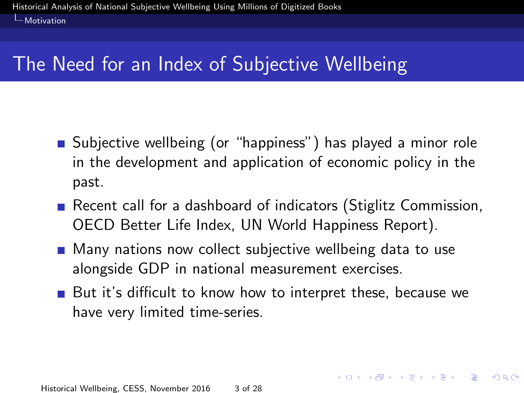# <span id="page-2-0"></span>The Need for an Index of Subjective Wellbeing

- **Subjective wellbeing (or "happiness") has played a minor role** in the development and application of economic policy in the past.
- Recent call for a dashboard of indicators (Stiglitz Commission, OECD Better Life Index, UN World Happiness Report).
- **Many nations now collect subjective wellbeing data to use** alongside GDP in national measurement exercises.
- But it's difficult to know how to interpret these, because we have very limited time-series.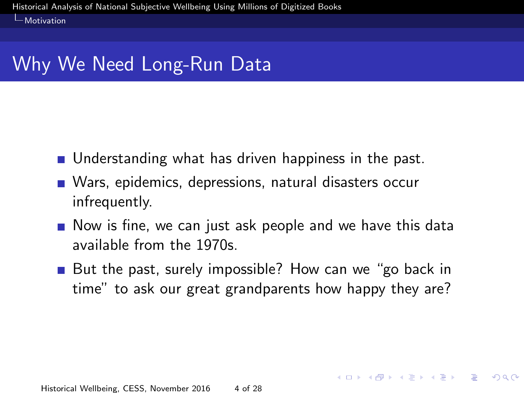# <span id="page-3-0"></span>Why We Need Long-Run Data

- **Understanding what has driven happiness in the past.**
- Wars, epidemics, depressions, natural disasters occur infrequently.
- Now is fine, we can just ask people and we have this data available from the 1970s.
- But the past, surely impossible? How can we "go back in time" to ask our great grandparents how happy they are?

KID KAP KE KE KE PARA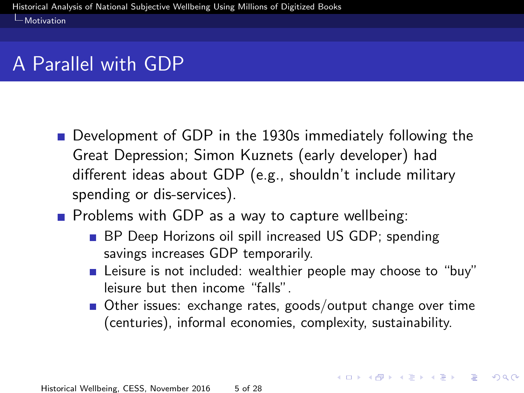# <span id="page-4-0"></span>A Parallel with GDP

- Development of GDP in the 1930s immediately following the Great Depression; Simon Kuznets (early developer) had different ideas about GDP (e.g., shouldn't include military spending or dis-services).
- $\blacksquare$  Problems with GDP as a way to capture wellbeing:
	- **BP** Deep Horizons oil spill increased US GDP; spending savings increases GDP temporarily.
	- **E** Leisure is not included: wealthier people may choose to "buy" leisure but then income "falls".
	- Other issues: exchange rates, goods/output change over time (centuries), informal economies, complexity, sustainability.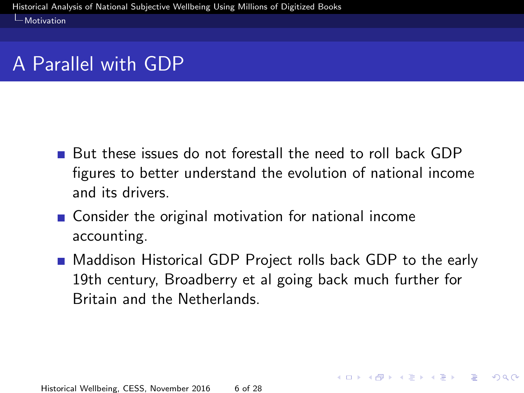# <span id="page-5-0"></span>A Parallel with GDP

- But these issues do not forestall the need to roll back GDP figures to better understand the evolution of national income and its drivers.
- Consider the original motivation for national income accounting.
- **Maddison Historical GDP Project rolls back GDP to the early** 19th century, Broadberry et al going back much further for Britain and the Netherlands.

KID KAP KE KE KE PARA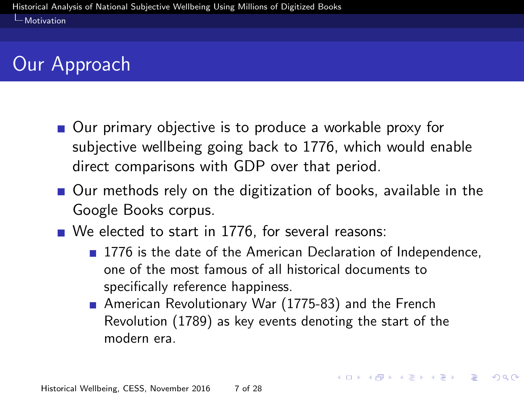# <span id="page-6-0"></span>Our Approach

- Our primary objective is to produce a workable proxy for subjective wellbeing going back to 1776, which would enable direct comparisons with GDP over that period.
- Our methods rely on the digitization of books, available in the Google Books corpus.
- We elected to start in 1776, for several reasons:
	- 1776 is the date of the American Declaration of Independence, one of the most famous of all historical documents to specifically reference happiness.

■ American Revolutionary War (1775-83) and the French Revolution (1789) as key events denoting the start of the modern era.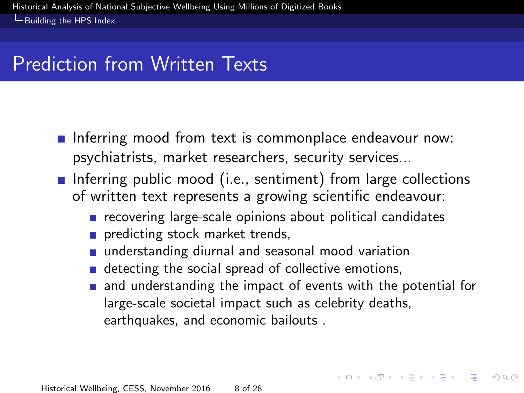### <span id="page-7-0"></span>Prediction from Written Texts

- Inferring mood from text is commonplace endeavour now: psychiatrists, market researchers, security services...
- **Inferring public mood (i.e., sentiment) from large collections** of written text represents a growing scientific endeavour:
	- $\blacksquare$  recovering large-scale opinions about political candidates
	- predicting stock market trends,
	- understanding diurnal and seasonal mood variation
	- detecting the social spread of collective emotions,
	- and understanding the impact of events with the potential for large-scale societal impact such as celebrity deaths, earthquakes, and economic bailouts .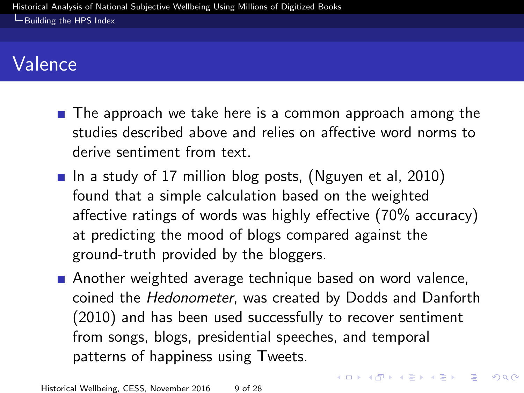## <span id="page-8-0"></span>Valence

- $\blacksquare$  The approach we take here is a common approach among the studies described above and relies on affective word norms to derive sentiment from text.
- In a study of 17 million blog posts, (Nguyen et al, 2010) found that a simple calculation based on the weighted affective ratings of words was highly effective (70% accuracy) at predicting the mood of blogs compared against the ground-truth provided by the bloggers.
- **Another weighted average technique based on word valence,** coined the Hedonometer, was created by Dodds and Danforth (2010) and has been used successfully to recover sentiment from songs, blogs, presidential speeches, and temporal patterns of happiness using Tweets.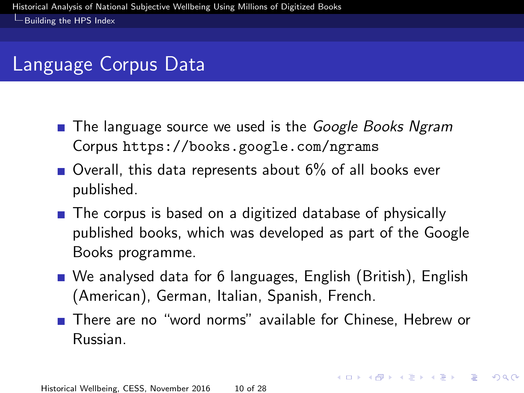## <span id="page-9-0"></span>Language Corpus Data

- **The language source we used is the Google Books Ngram** Corpus <https://books.google.com/ngrams>
- $\blacksquare$  Overall, this data represents about 6% of all books ever published.
- The corpus is based on a digitized database of physically published books, which was developed as part of the Google Books programme.
- We analysed data for 6 languages, English (British), English (American), German, Italian, Spanish, French.
- There are no "word norms" available for Chinese, Hebrew or Russian.

**KORK SERVER SHOP**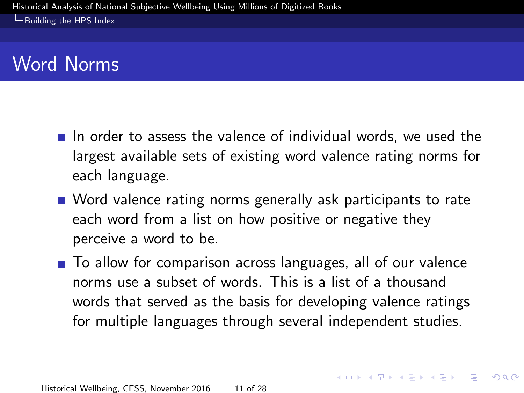<span id="page-10-0"></span> $L$ [Building the HPS Index](#page-10-0)

## Word Norms

- $\blacksquare$  In order to assess the valence of individual words, we used the largest available sets of existing word valence rating norms for each language.
- Word valence rating norms generally ask participants to rate each word from a list on how positive or negative they perceive a word to be.
- To allow for comparison across languages, all of our valence norms use a subset of words. This is a list of a thousand words that served as the basis for developing valence ratings for multiple languages through several independent studies.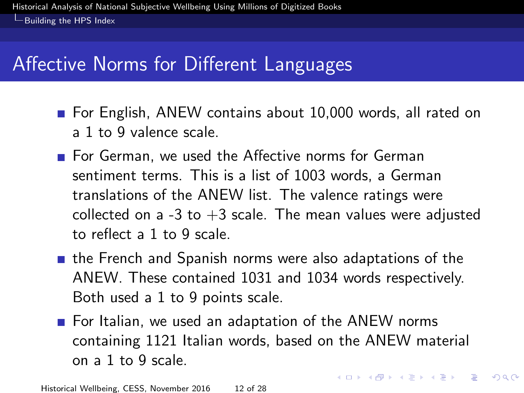## <span id="page-11-0"></span>Affective Norms for Different Languages

- **For English, ANEW contains about 10,000 words, all rated on** a 1 to 9 valence scale.
- For German, we used the Affective norms for German sentiment terms. This is a list of 1003 words, a German translations of the ANEW list. The valence ratings were collected on a -3 to  $+3$  scale. The mean values were adjusted to reflect a 1 to 9 scale.
- **the French and Spanish norms were also adaptations of the** ANEW. These contained 1031 and 1034 words respectively. Both used a 1 to 9 points scale.
- For Italian, we used an adaptation of the ANEW norms containing 1121 Italian words, based on the ANEW material on a 1 to 9 scale.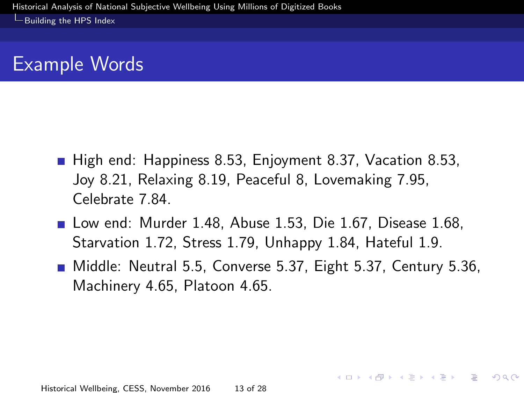### <span id="page-12-0"></span>Example Words

- High end: Happiness 8.53, Enjoyment 8.37, Vacation 8.53, Joy 8.21, Relaxing 8.19, Peaceful 8, Lovemaking 7.95, Celebrate 7.84.
- **Low end: Murder 1.48, Abuse 1.53, Die 1.67, Disease 1.68,** Starvation 1.72, Stress 1.79, Unhappy 1.84, Hateful 1.9.
- Middle: Neutral 5.5, Converse 5.37, Eight 5.37, Century 5.36, Machinery 4.65, Platoon 4.65.

KORK (FRAGER ALE) DE POLO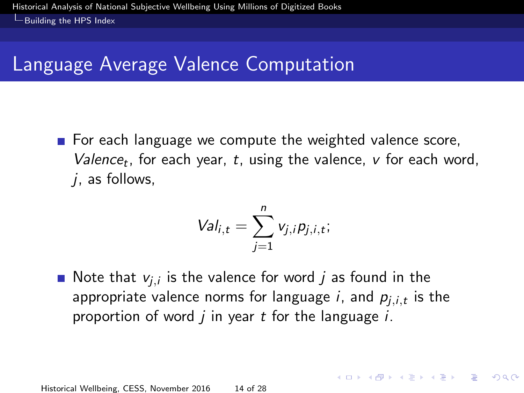# <span id="page-13-0"></span>Language Average Valence Computation

For each language we compute the weighted valence score, Valence<sub>t</sub>, for each year, t, using the valence,  $v$  for each word,  $i$ , as follows,

$$
Val_{i,t} = \sum_{j=1}^n v_{j,i} p_{j,i,t};
$$

Note that  $v_{j,i}$  is the valence for word  $j$  as found in the appropriate valence norms for language i, and  $p_{j,i,t}$  is the proportion of word  $j$  in year  $t$  for the language  $i$ .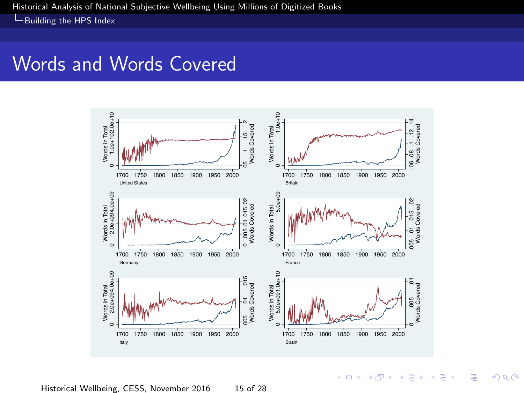#### <span id="page-14-0"></span>Words and Words Covered



 $\leftarrow$   $\Box$   $\rightarrow$ 

 $2Q$ 

∍

Historical Wellbeing, CESS, November 2016 15 of 28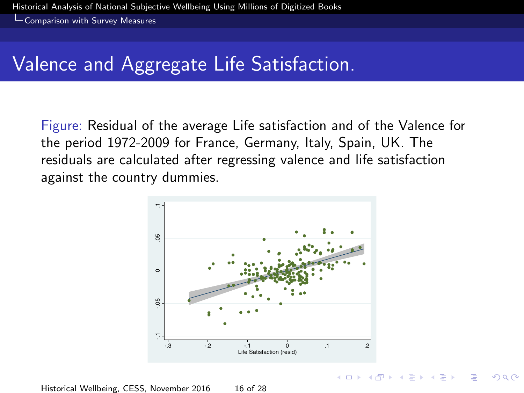<span id="page-15-0"></span>[Comparison with Survey Measures](#page-15-0)

### Valence and Aggregate Life Satisfaction.

Figure: Residual of the average Life satisfaction and of the Valence for the period 1972-2009 for France, Germany, Italy, Spain, UK. The residuals are calculated after regressing valence and life satisfaction against the country dummies.



 $(0,1)$   $(0,1)$   $(0,1)$   $(1,1)$   $(1,1)$   $(1,1)$ 

Historical Wellbeing, CESS, November 2016 16 of 28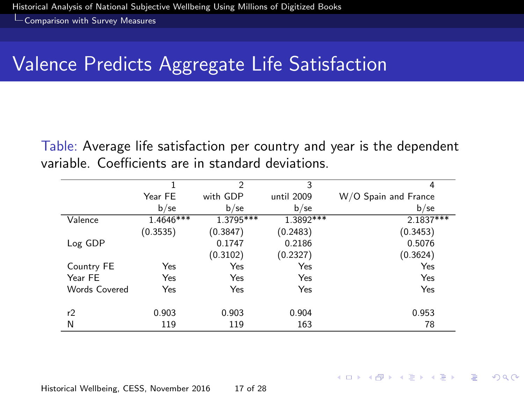<span id="page-16-0"></span>[Comparison with Survey Measures](#page-16-0)

## Valence Predicts Aggregate Life Satisfaction

Table: Average life satisfaction per country and year is the dependent variable. Coefficients are in standard deviations.

|                                |             | $\overline{2}$ | 3          | 4                    |
|--------------------------------|-------------|----------------|------------|----------------------|
|                                | Year FE     | with GDP       | until 2009 | W/O Spain and France |
|                                | $b$ /se     | $b$ /se        | $b$ /se    | $b$ /se              |
| $\overline{\mathsf{Val}}$ ence | $1.4646***$ | 1.3795***      | 1.3892***  | $2.1837***$          |
|                                | (0.3535)    | (0.3847)       | (0.2483)   | (0.3453)             |
| Log GDP                        |             | 0.1747         | 0.2186     | 0.5076               |
|                                |             | (0.3102)       | (0.2327)   | (0.3624)             |
| Country FE                     | Yes         | Yes            | Yes        | Yes                  |
| Year FE                        | Yes         | Yes            | Yes        | Yes                  |
| Words Covered                  | Yes         | Yes            | Yes        | Yes                  |
|                                |             |                |            |                      |
| r2                             | 0.903       | 0.903          | 0.904      | 0.953                |
| N                              | 119         | 119            | 163        | 78                   |
|                                |             |                |            |                      |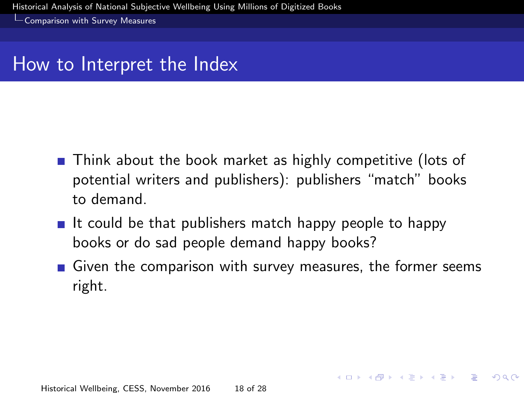<span id="page-17-0"></span>[Comparison with Survey Measures](#page-17-0)

#### How to Interpret the Index

- **Think about the book market as highly competitive (lots of** potential writers and publishers): publishers "match" books to demand.
- If could be that publishers match happy people to happy books or do sad people demand happy books?
- Given the comparison with survey measures, the former seems right.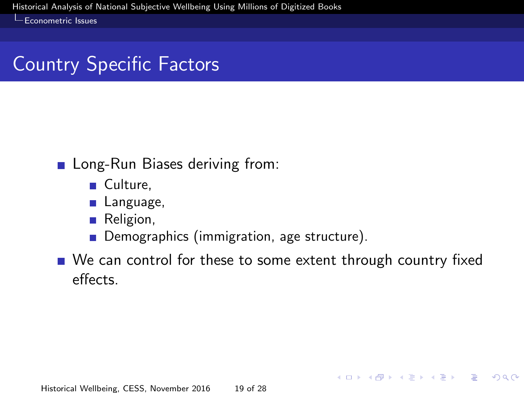# <span id="page-18-0"></span>Country Specific Factors

#### **Long-Run Biases deriving from:**

- Culture,
- **Language**,
- **Religion**,
- **Demographics (immigration, age structure).**
- We can control for these to some extent through country fixed effects.

KID KAP KE KE KE PARA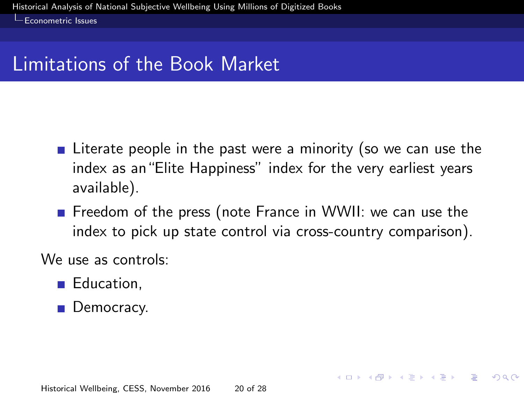# <span id="page-19-0"></span>Limitations of the Book Market

- **E** Literate people in the past were a minority (so we can use the index as an"Elite Happiness" index for the very earliest years available).
- **Figure 1** Freedom of the press (note France in WWII: we can use the index to pick up state control via cross-country comparison).

We use as controls:

- **Education.**
- **Democracy.**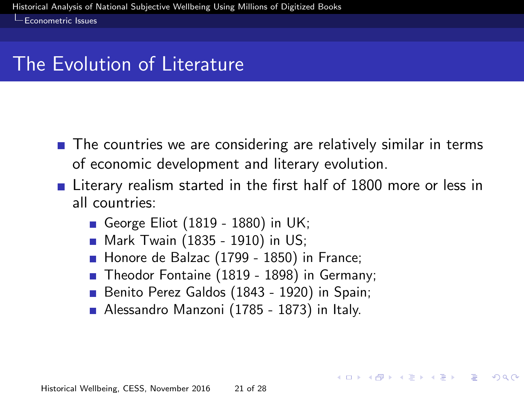### <span id="page-20-0"></span>The Evolution of Literature

- The countries we are considering are relatively similar in terms of economic development and literary evolution.
- **Example 20** Literary realism started in the first half of 1800 more or less in all countries:

**K ロ ト K 伺 ト K ヨ ト K ヨ ト ニヨ** 

- George Eliot (1819 1880) in UK;
- Mark Twain (1835 1910) in US;
- Honore de Balzac (1799 1850) in France;
- Theodor Fontaine (1819 1898) in Germany;
- Benito Perez Galdos (1843 1920) in Spain;
- Alessandro Manzoni (1785 1873) in Italy.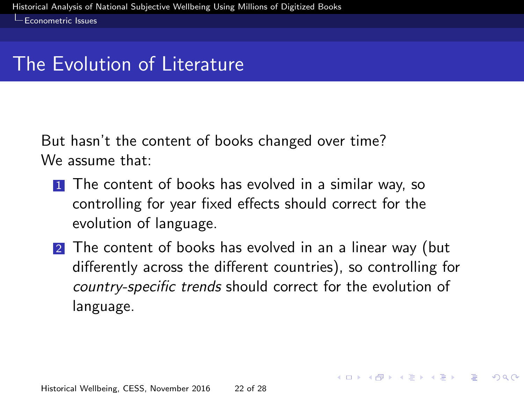#### <span id="page-21-0"></span>The Evolution of Literature

But hasn't the content of books changed over time? We assume that:

- **1** The content of books has evolved in a similar way, so controlling for year fixed effects should correct for the evolution of language.
- 2 The content of books has evolved in an a linear way (but differently across the different countries), so controlling for country-specific trends should correct for the evolution of language.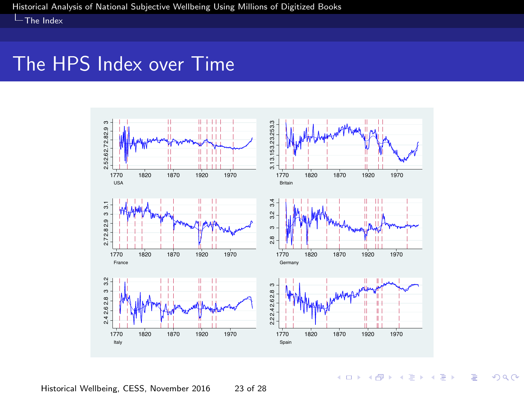<span id="page-22-0"></span> $L$ [The Index](#page-22-0)

#### The HPS Index over Time



Historical Wellbeing, CESS, November 2016 23 of 28

**K ロ ト イ 伊 ト イ ヨ** 

÷,

×  $\sim$ **B**  ă

 $2Q$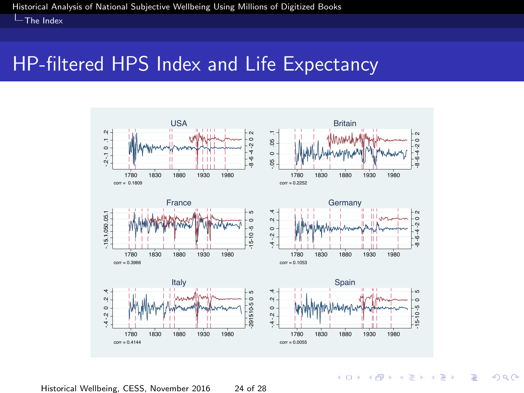<span id="page-23-0"></span>**L**[The Index](#page-23-0)

#### HP-filtered HPS Index and Life Expectancy



Historical Wellbeing, CESS, November 2016 24 of 28

**K ロ ト K 伊 ト K ミ** 

÷,

 $2Q$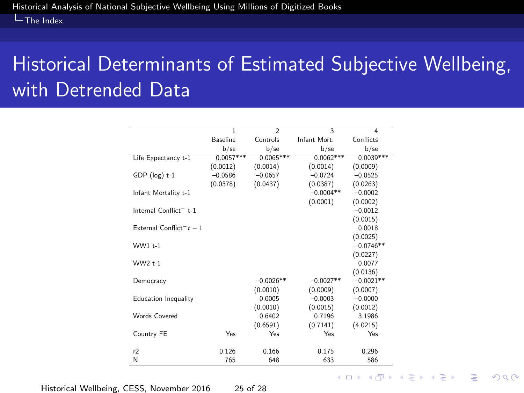#### <span id="page-24-0"></span> $L$ [The Index](#page-24-0)

# Historical Determinants of Estimated Subjective Wellbeing, with Detrended Data

|                                                | $\overline{1}$ | $\overline{\phantom{a}}$ | 3           | $\overline{4}$ |
|------------------------------------------------|----------------|--------------------------|-------------|----------------|
|                                                | Baseline       | Controls                 | Infant Mort | Conflicts      |
|                                                | $b$ /se        | $b$ /se                  | $b$ /se     | $b$ /se        |
| Life Expectancy t-1                            | $0.0057***$    | $0.0065***$              | $0.0062***$ | $0.0039***$    |
|                                                | (0.0012)       | (0.0014)                 | (0.0014)    | (0.0009)       |
| $GDP$ (log) $t-1$                              | $-0.0586$      | $-0.0657$                | $-0.0724$   | $-0.0525$      |
|                                                | (0.0378)       | (0.0437)                 | (0.0387)    | (0.0263)       |
| Infant Mortality t-1                           |                |                          | $-0.0004**$ | $-0.0002$      |
|                                                |                |                          | (0.0001)    | (0.0002)       |
| Internal Conflict <sup>-</sup> t-1             |                |                          |             | $-0.0012$      |
|                                                |                |                          |             | (0.0015)       |
| External Conflict <sup>-<math>t-1</math></sup> |                |                          |             | 0.0018         |
|                                                |                |                          |             | (0.0025)       |
| WW1 +-1                                        |                |                          |             | $-0.0746**$    |
|                                                |                |                          |             | (0.0227)       |
| WW2 +-1                                        |                |                          |             | 0.0077         |
|                                                |                |                          |             | (0.0136)       |
| Democracy                                      |                | $-0.0026**$              | $-0.0027**$ | $-0.0021**$    |
|                                                |                | (0.0010)                 | (0.0009)    | (0.0007)       |
| Education Inequality                           |                | 0.0005                   | $-0.0003$   | $-0.0000$      |
|                                                |                | (0.0010)                 | (0.0015)    | (0.0012)       |
| Words Covered                                  |                | 0.6402                   | 0.7196      | 3.1986         |
|                                                |                | (0.6591)                 | (0.7141)    | (4.0215)       |
| Country FE                                     | Yes            | Yes                      | Yes         | Yes            |
|                                                |                |                          |             |                |
| r2                                             | 0.126          | 0.166                    | 0.175       | 0.296          |
| N                                              | 765            | 648                      | 633         | 586            |

Historical Wellbeing, CESS, November 2016 25 of 28

**KORK SERVER SHOP**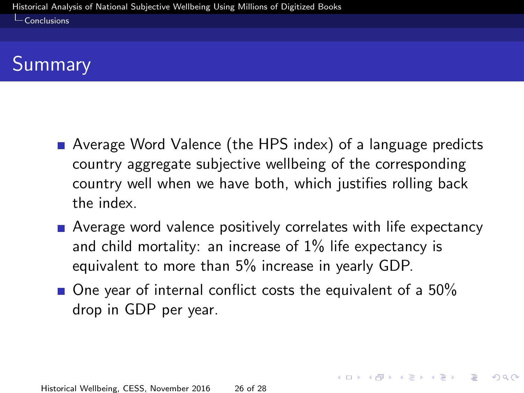<span id="page-25-0"></span> $\mathsf{\mathsf{L}}$  [Conclusions](#page-25-0)

# Summary

- Average Word Valence (the HPS index) of a language predicts country aggregate subjective wellbeing of the corresponding country well when we have both, which justifies rolling back the index.
- Average word valence positively correlates with life expectancy and child mortality: an increase of 1% life expectancy is equivalent to more than 5% increase in yearly GDP.

 $\blacksquare$  One year of internal conflict costs the equivalent of a 50% drop in GDP per year.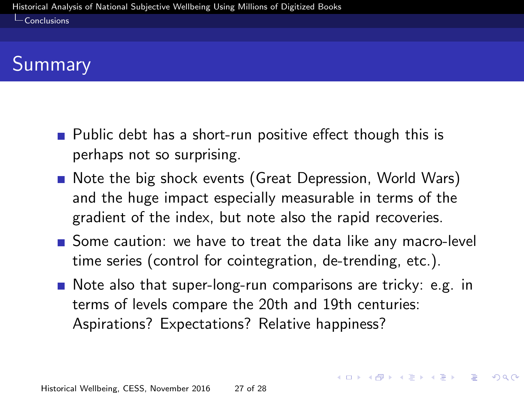#### <span id="page-26-0"></span> $\mathsf{\mathsf{L}}$  [Conclusions](#page-26-0)

# Summary

- Public debt has a short-run positive effect though this is perhaps not so surprising.
- Note the big shock events (Great Depression, World Wars) and the huge impact especially measurable in terms of the gradient of the index, but note also the rapid recoveries.
- Some caution: we have to treat the data like any macro-level time series (control for cointegration, de-trending, etc.).
- Note also that super-long-run comparisons are tricky: e.g. in terms of levels compare the 20th and 19th centuries: Aspirations? Expectations? Relative happiness?